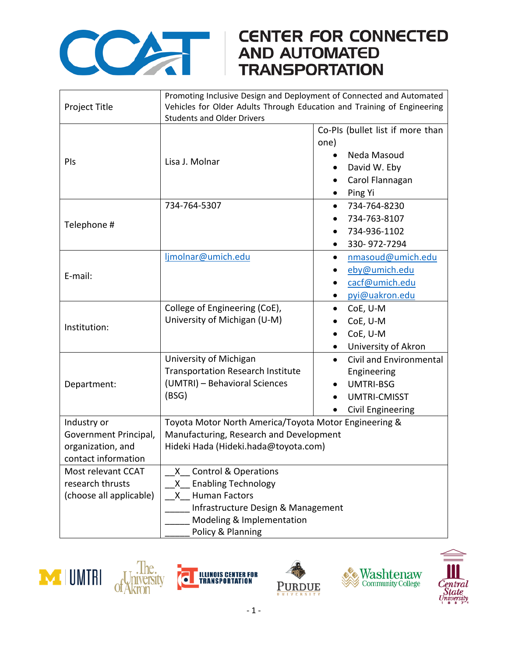

## COMPARE CONNECTED<br>AND AUTOMATED<br>TRANSPORTATION

|                         | Promoting Inclusive Design and Deployment of Connected and Automated    |                                             |
|-------------------------|-------------------------------------------------------------------------|---------------------------------------------|
| Project Title           | Vehicles for Older Adults Through Education and Training of Engineering |                                             |
|                         | <b>Students and Older Drivers</b>                                       |                                             |
| PIs                     |                                                                         | Co-PIs (bullet list if more than            |
|                         |                                                                         | one)                                        |
|                         | Lisa J. Molnar                                                          | Neda Masoud                                 |
|                         |                                                                         | David W. Eby                                |
|                         |                                                                         | Carol Flannagan                             |
|                         |                                                                         | Ping Yi                                     |
| Telephone #             | 734-764-5307                                                            | 734-764-8230                                |
|                         |                                                                         | 734-763-8107                                |
|                         |                                                                         | 734-936-1102<br>$\bullet$                   |
|                         |                                                                         | 330-972-7294                                |
|                         | ljmolnar@umich.edu                                                      | nmasoud@umich.edu<br>$\bullet$              |
| E-mail:                 |                                                                         | eby@umich.edu                               |
|                         |                                                                         | cacf@umich.edu                              |
|                         |                                                                         | pyi@uakron.edu                              |
|                         | College of Engineering (CoE),                                           | CoE, U-M<br>$\bullet$                       |
|                         | University of Michigan (U-M)                                            | CoE, U-M                                    |
| Institution:            |                                                                         | CoE, U-M                                    |
|                         |                                                                         | University of Akron                         |
|                         | University of Michigan                                                  | <b>Civil and Environmental</b><br>$\bullet$ |
|                         | <b>Transportation Research Institute</b>                                | Engineering                                 |
| Department:             | (UMTRI) - Behavioral Sciences                                           | <b>UMTRI-BSG</b>                            |
|                         | (BSG)                                                                   | <b>UMTRI-CMISST</b>                         |
|                         |                                                                         | Civil Engineering                           |
| Industry or             | Toyota Motor North America/Toyota Motor Engineering &                   |                                             |
| Government Principal,   | Manufacturing, Research and Development                                 |                                             |
| organization, and       | Hideki Hada (Hideki.hada@toyota.com)                                    |                                             |
| contact information     |                                                                         |                                             |
| Most relevant CCAT      | <b>Control &amp; Operations</b><br>X.                                   |                                             |
| research thrusts        | <b>Enabling Technology</b><br>$\mathsf{X}$                              |                                             |
| (choose all applicable) | <b>Human Factors</b><br>$\mathsf{X}$                                    |                                             |
|                         | Infrastructure Design & Management                                      |                                             |
|                         | Modeling & Implementation                                               |                                             |
|                         | Policy & Planning                                                       |                                             |









Ò

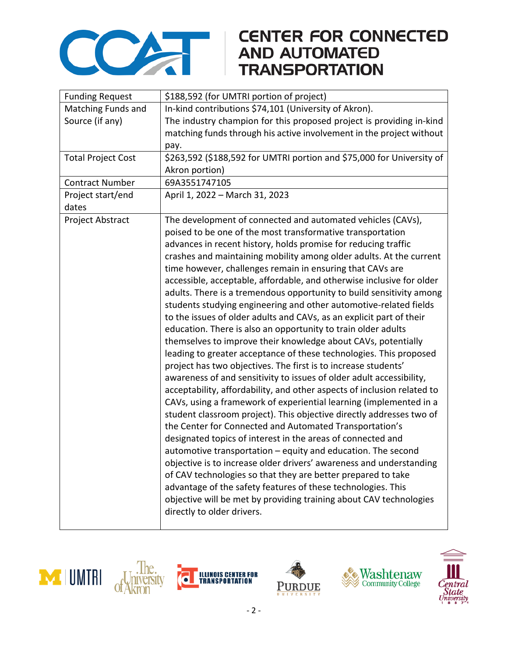

## **CENTER FOR CONNECTED**

| <b>Funding Request</b>    | \$188,592 (for UMTRI portion of project)                                |  |
|---------------------------|-------------------------------------------------------------------------|--|
| Matching Funds and        | In-kind contributions \$74,101 (University of Akron).                   |  |
| Source (if any)           | The industry champion for this proposed project is providing in-kind    |  |
|                           | matching funds through his active involvement in the project without    |  |
|                           | pay.                                                                    |  |
| <b>Total Project Cost</b> | \$263,592 (\$188,592 for UMTRI portion and \$75,000 for University of   |  |
|                           | Akron portion)                                                          |  |
| <b>Contract Number</b>    | 69A3551747105                                                           |  |
| Project start/end         | April 1, 2022 - March 31, 2023                                          |  |
| dates                     |                                                                         |  |
| Project Abstract          | The development of connected and automated vehicles (CAVs),             |  |
|                           | poised to be one of the most transformative transportation              |  |
|                           | advances in recent history, holds promise for reducing traffic          |  |
|                           | crashes and maintaining mobility among older adults. At the current     |  |
|                           | time however, challenges remain in ensuring that CAVs are               |  |
|                           | accessible, acceptable, affordable, and otherwise inclusive for older   |  |
|                           | adults. There is a tremendous opportunity to build sensitivity among    |  |
|                           | students studying engineering and other automotive-related fields       |  |
|                           | to the issues of older adults and CAVs, as an explicit part of their    |  |
|                           | education. There is also an opportunity to train older adults           |  |
|                           | themselves to improve their knowledge about CAVs, potentially           |  |
|                           | leading to greater acceptance of these technologies. This proposed      |  |
|                           | project has two objectives. The first is to increase students'          |  |
|                           | awareness of and sensitivity to issues of older adult accessibility,    |  |
|                           | acceptability, affordability, and other aspects of inclusion related to |  |
|                           | CAVs, using a framework of experiential learning (implemented in a      |  |
|                           | student classroom project). This objective directly addresses two of    |  |
|                           | the Center for Connected and Automated Transportation's                 |  |
|                           | designated topics of interest in the areas of connected and             |  |
|                           | automotive transportation - equity and education. The second            |  |
|                           | objective is to increase older drivers' awareness and understanding     |  |
|                           | of CAV technologies so that they are better prepared to take            |  |
|                           | advantage of the safety features of these technologies. This            |  |
|                           | objective will be met by providing training about CAV technologies      |  |
|                           | directly to older drivers.                                              |  |
|                           |                                                                         |  |





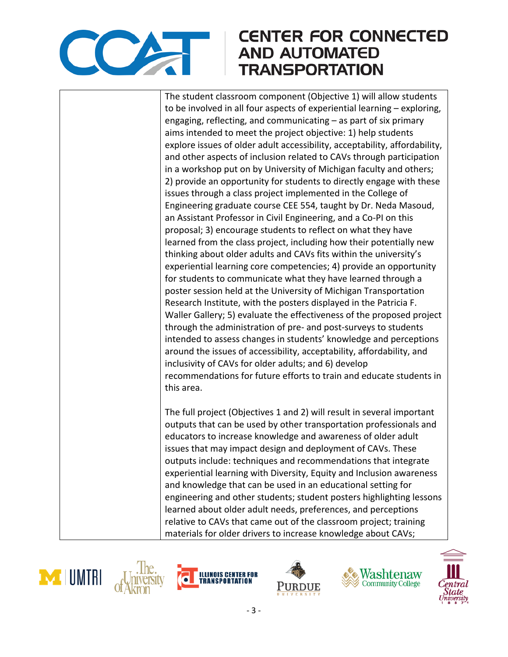

## **CENTER FOR CONNECTED AND AUTOMATED TRANSPORTATION**

The student classroom component (Objective 1) will allow students to be involved in all four aspects of experiential learning – exploring, engaging, reflecting, and communicating – as part of six primary aims intended to meet the project objective: 1) help students explore issues of older adult accessibility, acceptability, affordability, and other aspects of inclusion related to CAVs through participation in a workshop put on by University of Michigan faculty and others; 2) provide an opportunity for students to directly engage with these issues through a class project implemented in the College of Engineering graduate course CEE 554, taught by Dr. Neda Masoud, an Assistant Professor in Civil Engineering, and a Co-PI on this proposal; 3) encourage students to reflect on what they have learned from the class project, including how their potentially new thinking about older adults and CAVs fits within the university's experiential learning core competencies; 4) provide an opportunity for students to communicate what they have learned through a poster session held at the University of Michigan Transportation Research Institute, with the posters displayed in the Patricia F. Waller Gallery; 5) evaluate the effectiveness of the proposed project through the administration of pre- and post-surveys to students intended to assess changes in students' knowledge and perceptions around the issues of accessibility, acceptability, affordability, and inclusivity of CAVs for older adults; and 6) develop recommendations for future efforts to train and educate students in this area. The full project (Objectives 1 and 2) will result in several important outputs that can be used by other transportation professionals and

educators to increase knowledge and awareness of older adult issues that may impact design and deployment of CAVs. These outputs include: techniques and recommendations that integrate experiential learning with Diversity, Equity and Inclusion awareness and knowledge that can be used in an educational setting for engineering and other students; student posters highlighting lessons learned about older adult needs, preferences, and perceptions relative to CAVs that came out of the classroom project; training materials for older drivers to increase knowledge about CAVs;